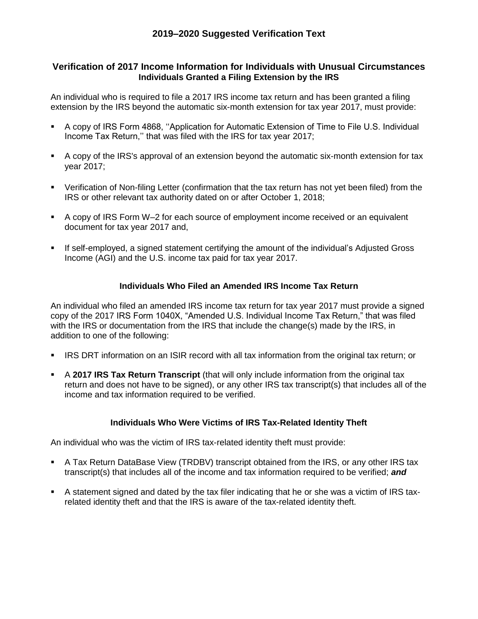## **Verification of 2017 Income Information for Individuals with Unusual Circumstances Individuals Granted a Filing Extension by the IRS**

An individual who is required to file a 2017 IRS income tax return and has been granted a filing extension by the IRS beyond the automatic six-month extension for tax year 2017, must provide:

- A copy of IRS Form 4868, ''Application for Automatic Extension of Time to File U.S. Individual Income Tax Return,'' that was filed with the IRS for tax year 2017;
- A copy of the IRS's approval of an extension beyond the automatic six-month extension for tax year 2017;
- Verification of Non-filing Letter (confirmation that the tax return has not yet been filed) from the IRS or other relevant tax authority dated on or after October 1, 2018;
- A copy of IRS Form W–2 for each source of employment income received or an equivalent document for tax year 2017 and,
- **If self-employed, a signed statement certifying the amount of the individual's Adjusted Gross** Income (AGI) and the U.S. income tax paid for tax year 2017.

## **Individuals Who Filed an Amended IRS Income Tax Return**

An individual who filed an amended IRS income tax return for tax year 2017 must provide a signed copy of the 2017 IRS Form 1040X, "Amended U.S. Individual Income Tax Return," that was filed with the IRS or documentation from the IRS that include the change(s) made by the IRS, in addition to one of the following:

- **IRS DRT information on an ISIR record with all tax information from the original tax return; or**
- A **2017 IRS Tax Return Transcript** (that will only include information from the original tax return and does not have to be signed), or any other IRS tax transcript(s) that includes all of the income and tax information required to be verified.

## **Individuals Who Were Victims of IRS Tax-Related Identity Theft**

An individual who was the victim of IRS tax-related identity theft must provide:

- A Tax Return DataBase View (TRDBV) transcript obtained from the IRS, or any other IRS tax transcript(s) that includes all of the income and tax information required to be verified; *and*
- A statement signed and dated by the tax filer indicating that he or she was a victim of IRS taxrelated identity theft and that the IRS is aware of the tax-related identity theft.